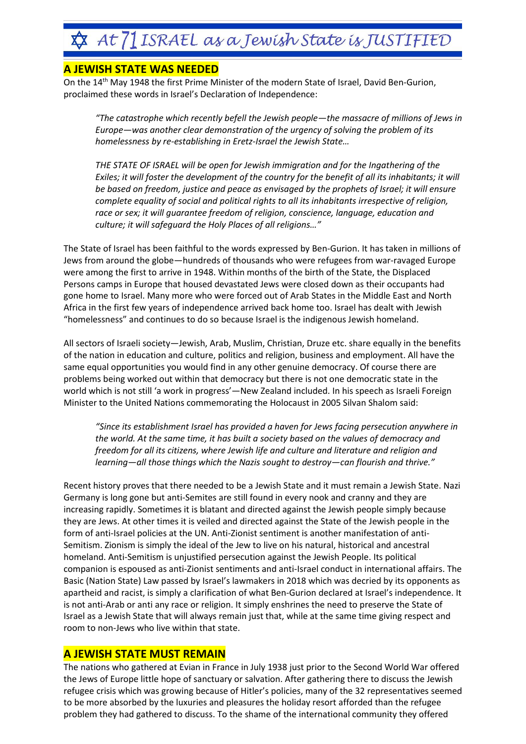## **&** At 71 ISRAEL as a Jewish State is JUSTIFIED

## **A JEWISH STATE WAS NEEDED**

On the 14<sup>th</sup> May 1948 the first Prime Minister of the modern State of Israel, David Ben-Gurion, proclaimed these words in Israel's Declaration of Independence:

*"The catastrophe which recently befell the Jewish people—the massacre of millions of Jews in Europe—was another clear demonstration of the urgency of solving the problem of its homelessness by re-establishing in Eretz-Israel the Jewish State…*

*THE STATE OF ISRAEL will be open for Jewish immigration and for the Ingathering of the Exiles; it will foster the development of the country for the benefit of all its inhabitants; it will be based on freedom, justice and peace as envisaged by the prophets of Israel; it will ensure complete equality of social and political rights to all its inhabitants irrespective of religion, race or sex; it will guarantee freedom of religion, conscience, language, education and culture; it will safeguard the Holy Places of all religions…"*

The State of Israel has been faithful to the words expressed by Ben-Gurion. It has taken in millions of Jews from around the globe—hundreds of thousands who were refugees from war-ravaged Europe were among the first to arrive in 1948. Within months of the birth of the State, the Displaced Persons camps in Europe that housed devastated Jews were closed down as their occupants had gone home to Israel. Many more who were forced out of Arab States in the Middle East and North Africa in the first few years of independence arrived back home too. Israel has dealt with Jewish "homelessness" and continues to do so because Israel is the indigenous Jewish homeland.

All sectors of Israeli society—Jewish, Arab, Muslim, Christian, Druze etc. share equally in the benefits of the nation in education and culture, politics and religion, business and employment. All have the same equal opportunities you would find in any other genuine democracy. Of course there are problems being worked out within that democracy but there is not one democratic state in the world which is not still 'a work in progress'—New Zealand included. In his speech as Israeli Foreign Minister to the United Nations commemorating the Holocaust in 2005 Silvan Shalom said:

*"Since its establishment Israel has provided a haven for Jews facing persecution anywhere in the world. At the same time, it has built a society based on the values of democracy and freedom for all its citizens, where Jewish life and culture and literature and religion and learning—all those things which the Nazis sought to destroy—can flourish and thrive."*

Recent history proves that there needed to be a Jewish State and it must remain a Jewish State. Nazi Germany is long gone but anti-Semites are still found in every nook and cranny and they are increasing rapidly. Sometimes it is blatant and directed against the Jewish people simply because they are Jews. At other times it is veiled and directed against the State of the Jewish people in the form of anti-Israel policies at the UN. Anti-Zionist sentiment is another manifestation of anti-Semitism. Zionism is simply the ideal of the Jew to live on his natural, historical and ancestral homeland. Anti-Semitism is unjustified persecution against the Jewish People. Its political companion is espoused as anti-Zionist sentiments and anti-Israel conduct in international affairs. The Basic (Nation State) Law passed by Israel's lawmakers in 2018 which was decried by its opponents as apartheid and racist, is simply a clarification of what Ben-Gurion declared at Israel's independence. It is not anti-Arab or anti any race or religion. It simply enshrines the need to preserve the State of Israel as a Jewish State that will always remain just that, while at the same time giving respect and room to non-Jews who live within that state.

## **A JEWISH STATE MUST REMAIN**

The nations who gathered at Evian in France in July 1938 just prior to the Second World War offered the Jews of Europe little hope of sanctuary or salvation. After gathering there to discuss the Jewish refugee crisis which was growing because of Hitler's policies, many of the 32 representatives seemed to be more absorbed by the luxuries and pleasures the holiday resort afforded than the refugee problem they had gathered to discuss. To the shame of the international community they offered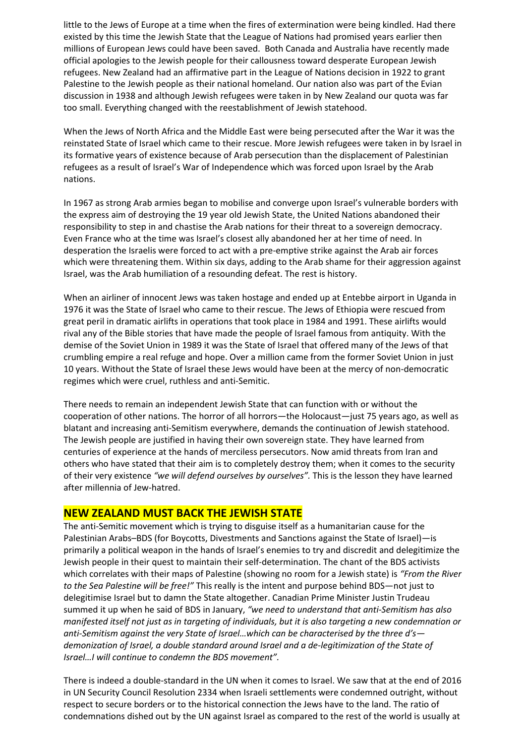little to the Jews of Europe at a time when the fires of extermination were being kindled. Had there existed by this time the Jewish State that the League of Nations had promised years earlier then millions of European Jews could have been saved. Both Canada and Australia have recently made official apologies to the Jewish people for their callousness toward desperate European Jewish refugees. New Zealand had an affirmative part in the League of Nations decision in 1922 to grant Palestine to the Jewish people as their national homeland. Our nation also was part of the Evian discussion in 1938 and although Jewish refugees were taken in by New Zealand our quota was far too small. Everything changed with the reestablishment of Jewish statehood.

When the Jews of North Africa and the Middle East were being persecuted after the War it was the reinstated State of Israel which came to their rescue. More Jewish refugees were taken in by Israel in its formative years of existence because of Arab persecution than the displacement of Palestinian refugees as a result of Israel's War of Independence which was forced upon Israel by the Arab nations.

In 1967 as strong Arab armies began to mobilise and converge upon Israel's vulnerable borders with the express aim of destroying the 19 year old Jewish State, the United Nations abandoned their responsibility to step in and chastise the Arab nations for their threat to a sovereign democracy. Even France who at the time was Israel's closest ally abandoned her at her time of need. In desperation the Israelis were forced to act with a pre-emptive strike against the Arab air forces which were threatening them. Within six days, adding to the Arab shame for their aggression against Israel, was the Arab humiliation of a resounding defeat. The rest is history.

When an airliner of innocent Jews was taken hostage and ended up at Entebbe airport in Uganda in 1976 it was the State of Israel who came to their rescue. The Jews of Ethiopia were rescued from great peril in dramatic airlifts in operations that took place in 1984 and 1991. These airlifts would rival any of the Bible stories that have made the people of Israel famous from antiquity. With the demise of the Soviet Union in 1989 it was the State of Israel that offered many of the Jews of that crumbling empire a real refuge and hope. Over a million came from the former Soviet Union in just 10 years. Without the State of Israel these Jews would have been at the mercy of non-democratic regimes which were cruel, ruthless and anti-Semitic.

There needs to remain an independent Jewish State that can function with or without the cooperation of other nations. The horror of all horrors—the Holocaust—just 75 years ago, as well as blatant and increasing anti-Semitism everywhere, demands the continuation of Jewish statehood. The Jewish people are justified in having their own sovereign state. They have learned from centuries of experience at the hands of merciless persecutors. Now amid threats from Iran and others who have stated that their aim is to completely destroy them; when it comes to the security of their very existence *"we will defend ourselves by ourselves".* This is the lesson they have learned after millennia of Jew-hatred.

## **NEW ZEALAND MUST BACK THE JEWISH STATE**

The anti-Semitic movement which is trying to disguise itself as a humanitarian cause for the Palestinian Arabs–BDS (for Boycotts, Divestments and Sanctions against the State of Israel)—is primarily a political weapon in the hands of Israel's enemies to try and discredit and delegitimize the Jewish people in their quest to maintain their self-determination. The chant of the BDS activists which correlates with their maps of Palestine (showing no room for a Jewish state) is *"From the River to the Sea Palestine will be free!"* This really is the intent and purpose behind BDS—not just to delegitimise Israel but to damn the State altogether. Canadian Prime Minister Justin Trudeau summed it up when he said of BDS in January, *"we need to understand that anti-Semitism has also manifested itself not just as in targeting of individuals, but it is also targeting a new condemnation or anti-Semitism against the very State of Israel…which can be characterised by the three d's demonization of Israel, a double standard around Israel and a de-legitimization of the State of Israel…I will continue to condemn the BDS movement".*

There is indeed a double-standard in the UN when it comes to Israel. We saw that at the end of 2016 in UN Security Council Resolution 2334 when Israeli settlements were condemned outright, without respect to secure borders or to the historical connection the Jews have to the land. The ratio of condemnations dished out by the UN against Israel as compared to the rest of the world is usually at